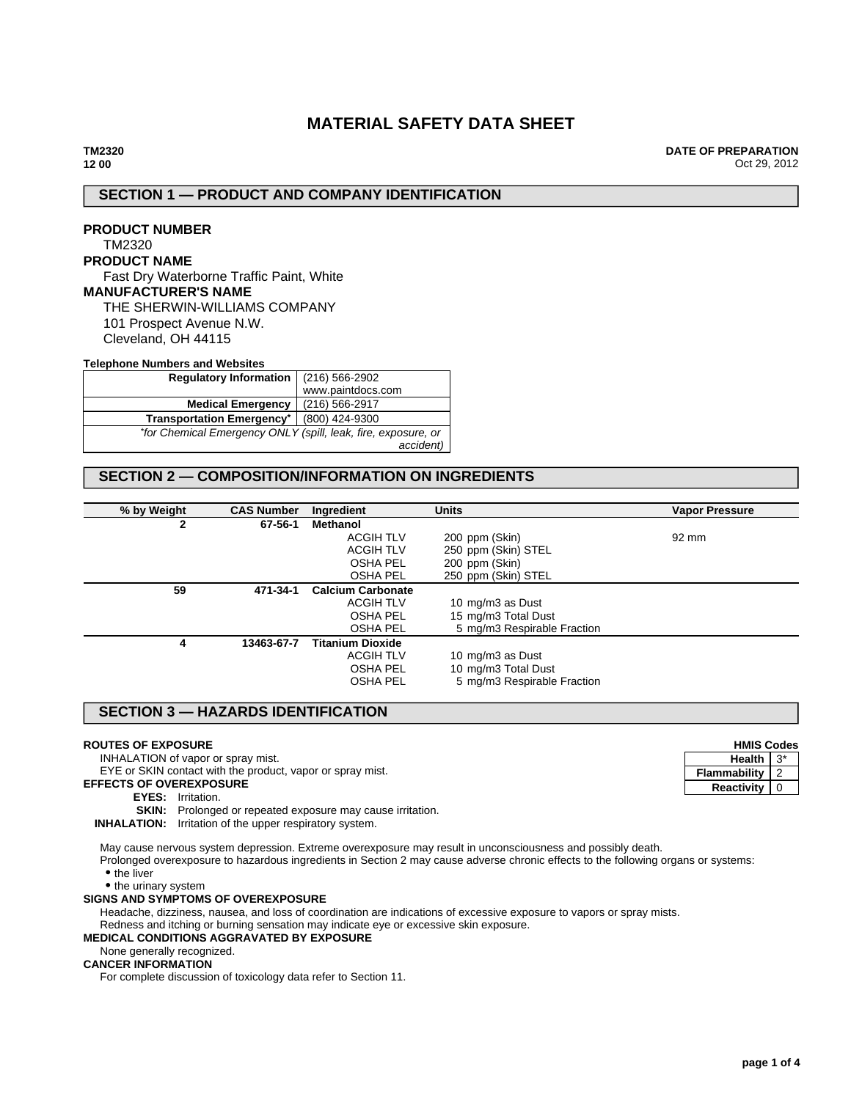# **MATERIAL SAFETY DATA SHEET**

**DATE OF PREPARATION** Oct 29, 2012

# **SECTION 1 — PRODUCT AND COMPANY IDENTIFICATION**

# **PRODUCT NUMBER** TM2320 **PRODUCT NAME** Fast Dry Waterborne Traffic Paint, White **MANUFACTURER'S NAME** THE SHERWIN-WILLIAMS COMPANY

101 Prospect Avenue N.W. Cleveland, OH 44115

#### **Telephone Numbers and Websites**

| Regulatory Information   (216) 566-2902                       |                   |
|---------------------------------------------------------------|-------------------|
|                                                               | www.paintdocs.com |
| <b>Medical Emergency</b>                                      | (216) 566-2917    |
| <b>Transportation Emergency*</b>                              | (800) 424-9300    |
| *for Chemical Emergency ONLY (spill, leak, fire, exposure, or |                   |
|                                                               | accident)         |

# **SECTION 2 — COMPOSITION/INFORMATION ON INGREDIENTS**

| % by Weight | <b>CAS Number</b> | Ingredient               | <b>Units</b>                | <b>Vapor Pressure</b> |
|-------------|-------------------|--------------------------|-----------------------------|-----------------------|
| 2           | 67-56-1           | Methanol                 |                             |                       |
|             |                   | <b>ACGIH TLV</b>         | 200 ppm (Skin)              | 92 mm                 |
|             |                   | <b>ACGIH TLV</b>         | 250 ppm (Skin) STEL         |                       |
|             |                   | <b>OSHA PEL</b>          | 200 ppm (Skin)              |                       |
|             |                   | <b>OSHA PEL</b>          | 250 ppm (Skin) STEL         |                       |
| 59          | 471-34-1          | <b>Calcium Carbonate</b> |                             |                       |
|             |                   | <b>ACGIH TLV</b>         | 10 mg/m3 as Dust            |                       |
|             |                   | <b>OSHA PEL</b>          | 15 mg/m3 Total Dust         |                       |
|             |                   | <b>OSHA PEL</b>          | 5 mg/m3 Respirable Fraction |                       |
| 4           | 13463-67-7        | <b>Titanium Dioxide</b>  |                             |                       |
|             |                   | <b>ACGIH TLV</b>         | 10 mg/m3 as Dust            |                       |
|             |                   | <b>OSHA PEL</b>          | 10 mg/m3 Total Dust         |                       |
|             |                   | <b>OSHA PEL</b>          | 5 mg/m3 Respirable Fraction |                       |

# **SECTION 3 — HAZARDS IDENTIFICATION**

#### **ROUTES OF EXPOSURE**

INHALATION of vapor or spray mist.

EYE or SKIN contact with the product, vapor or spray mist.

**EFFECTS OF OVEREXPOSURE**

### **EYES:** Irritation.

**SKIN:** Prolonged or repeated exposure may cause irritation.

**INHALATION:** Irritation of the upper respiratory system.

May cause nervous system depression. Extreme overexposure may result in unconsciousness and possibly death. Prolonged overexposure to hazardous ingredients in Section 2 may cause adverse chronic effects to the following organs or systems:

• the liver

• the urinary system

### **SIGNS AND SYMPTOMS OF OVEREXPOSURE**

Headache, dizziness, nausea, and loss of coordination are indications of excessive exposure to vapors or spray mists.

Redness and itching or burning sensation may indicate eye or excessive skin exposure.

### **MEDICAL CONDITIONS AGGRAVATED BY EXPOSURE**

None generally recognized.

### **CANCER INFORMATION**

For complete discussion of toxicology data refer to Section 11.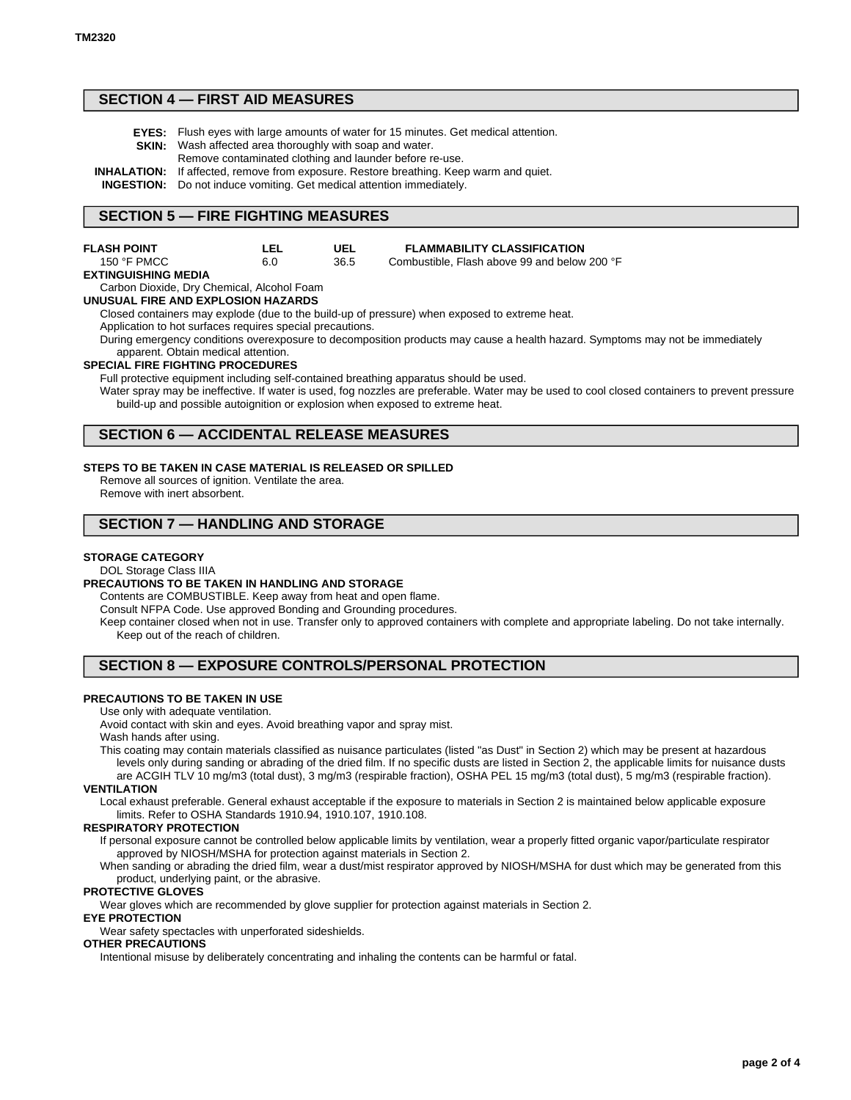# **SECTION 4 — FIRST AID MEASURES**

- **EYES:** Flush eyes with large amounts of water for 15 minutes. Get medical attention.
- **SKIN:** Wash affected area thoroughly with soap and water. Remove contaminated clothing and launder before re-use.
- **INHALATION:** If affected, remove from exposure. Restore breathing. Keep warm and quiet.

**INGESTION:** Do not induce vomiting. Get medical attention immediately.

# **SECTION 5 — FIRE FIGHTING MEASURES**

| <b>FLASH POINT</b>   | LEL | UEL  | <b>FLAMMABILITY CLASSIFICATION</b>           |
|----------------------|-----|------|----------------------------------------------|
| 150 $\degree$ F PMCC | 6.0 | 36.5 | Combustible. Flash above 99 and below 200 °F |

#### **EXTINGUISHING MEDIA**

Carbon Dioxide, Dry Chemical, Alcohol Foam

**UNUSUAL FIRE AND EXPLOSION HAZARDS**

Closed containers may explode (due to the build-up of pressure) when exposed to extreme heat.

Application to hot surfaces requires special precautions.

During emergency conditions overexposure to decomposition products may cause a health hazard. Symptoms may not be immediately apparent. Obtain medical attention.

#### **SPECIAL FIRE FIGHTING PROCEDURES**

Full protective equipment including self-contained breathing apparatus should be used.

Water spray may be ineffective. If water is used, fog nozzles are preferable. Water may be used to cool closed containers to prevent pressure build-up and possible autoignition or explosion when exposed to extreme heat.

### **SECTION 6 — ACCIDENTAL RELEASE MEASURES**

#### **STEPS TO BE TAKEN IN CASE MATERIAL IS RELEASED OR SPILLED**

Remove all sources of ignition. Ventilate the area. Remove with inert absorbent.

# **SECTION 7 — HANDLING AND STORAGE**

#### **STORAGE CATEGORY**

#### DOL Storage Class IIIA

#### **PRECAUTIONS TO BE TAKEN IN HANDLING AND STORAGE**

Contents are COMBUSTIBLE. Keep away from heat and open flame.

Consult NFPA Code. Use approved Bonding and Grounding procedures.

Keep container closed when not in use. Transfer only to approved containers with complete and appropriate labeling. Do not take internally. Keep out of the reach of children.

### **SECTION 8 — EXPOSURE CONTROLS/PERSONAL PROTECTION**

#### **PRECAUTIONS TO BE TAKEN IN USE**

Use only with adequate ventilation.

Avoid contact with skin and eyes. Avoid breathing vapor and spray mist.

Wash hands after using.

This coating may contain materials classified as nuisance particulates (listed "as Dust" in Section 2) which may be present at hazardous levels only during sanding or abrading of the dried film. If no specific dusts are listed in Section 2, the applicable limits for nuisance dusts are ACGIH TLV 10 mg/m3 (total dust), 3 mg/m3 (respirable fraction), OSHA PEL 15 mg/m3 (total dust), 5 mg/m3 (respirable fraction).

#### **VENTILATION**

Local exhaust preferable. General exhaust acceptable if the exposure to materials in Section 2 is maintained below applicable exposure limits. Refer to OSHA Standards 1910.94, 1910.107, 1910.108.

#### **RESPIRATORY PROTECTION**

If personal exposure cannot be controlled below applicable limits by ventilation, wear a properly fitted organic vapor/particulate respirator approved by NIOSH/MSHA for protection against materials in Section 2.

When sanding or abrading the dried film, wear a dust/mist respirator approved by NIOSH/MSHA for dust which may be generated from this product, underlying paint, or the abrasive.

### **PROTECTIVE GLOVES**

Wear gloves which are recommended by glove supplier for protection against materials in Section 2.

#### **EYE PROTECTION**

Wear safety spectacles with unperforated sideshields.

#### **OTHER PRECAUTIONS**

Intentional misuse by deliberately concentrating and inhaling the contents can be harmful or fatal.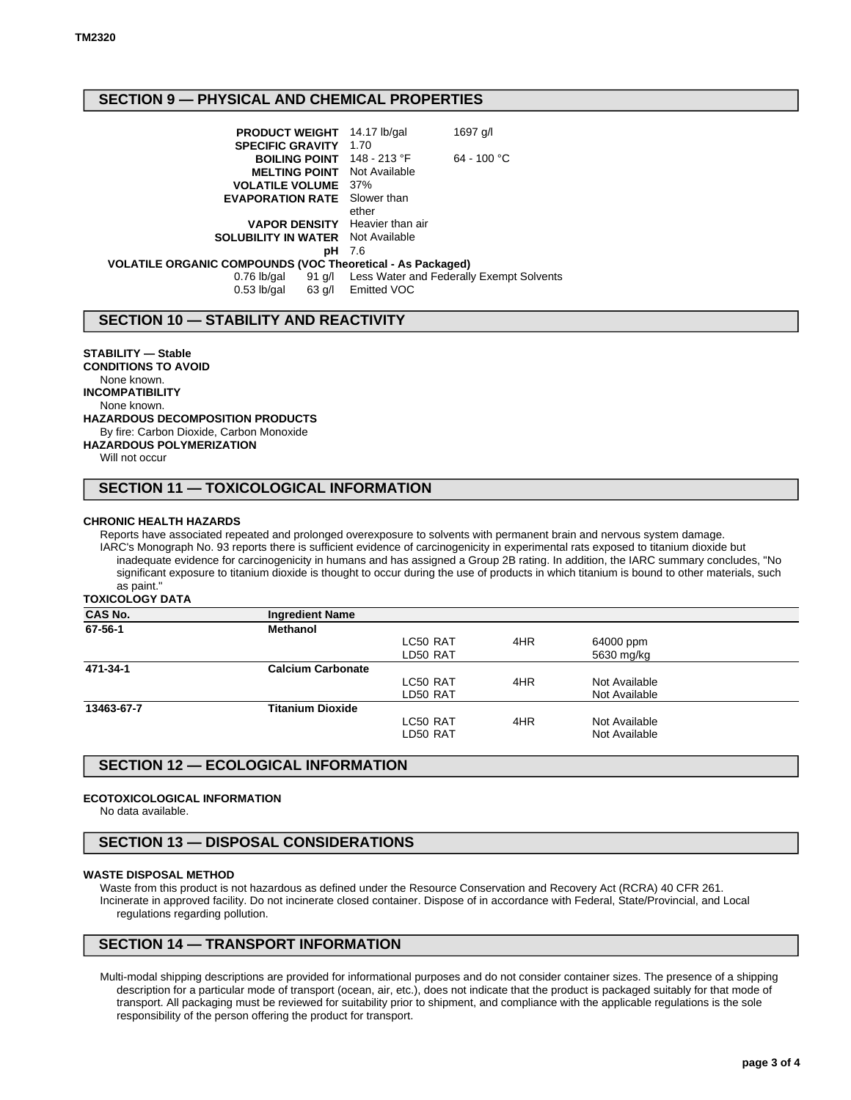# **SECTION 9 — PHYSICAL AND CHEMICAL PROPERTIES**

| <b>PRODUCT WEIGHT</b> 14.17 lb/gal                         |                    | 1697 g/l                                        |
|------------------------------------------------------------|--------------------|-------------------------------------------------|
| <b>SPECIFIC GRAVITY</b>                                    | 1.70               |                                                 |
| BOILING POINT 148 - 213 °F                                 |                    | $64 - 100 °C$                                   |
| <b>MELTING POINT</b> Not Available                         |                    |                                                 |
| <b>VOLATILE VOLUME</b> 37%                                 |                    |                                                 |
| <b>EVAPORATION RATE</b> Slower than                        |                    |                                                 |
|                                                            | ether              |                                                 |
| <b>VAPOR DENSITY</b> Heavier than air                      |                    |                                                 |
| <b>SOLUBILITY IN WATER</b> Not Available                   |                    |                                                 |
| рH                                                         | 7.6                |                                                 |
| VOLATILE ORGANIC COMPOUNDS (VOC Theoretical - As Packaged) |                    |                                                 |
| $0.76$ lb/gal                                              |                    | 91 g/l Less Water and Federally Exempt Solvents |
| $0.53$ lb/gal                                              | 63 g/l Emitted VOC |                                                 |

# **SECTION 10 — STABILITY AND REACTIVITY**

**STABILITY — Stable CONDITIONS TO AVOID** None known. **INCOMPATIBILITY** None known. **HAZARDOUS DECOMPOSITION PRODUCTS** By fire: Carbon Dioxide, Carbon Monoxide **HAZARDOUS POLYMERIZATION** Will not occur

# **SECTION 11 — TOXICOLOGICAL INFORMATION**

#### **CHRONIC HEALTH HAZARDS**

Reports have associated repeated and prolonged overexposure to solvents with permanent brain and nervous system damage. IARC's Monograph No. 93 reports there is sufficient evidence of carcinogenicity in experimental rats exposed to titanium dioxide but inadequate evidence for carcinogenicity in humans and has assigned a Group 2B rating. In addition, the IARC summary concludes, "No significant exposure to titanium dioxide is thought to occur during the use of products in which titanium is bound to other materials, such as paint."

**TOXICOLOGY DATA**

| <b>CAS No.</b> | <b>Ingredient Name</b>   |          |     |               |  |
|----------------|--------------------------|----------|-----|---------------|--|
| 67-56-1        | <b>Methanol</b>          |          |     |               |  |
|                |                          | LC50 RAT | 4HR | 64000 ppm     |  |
|                |                          | LD50 RAT |     | 5630 mg/kg    |  |
| 471-34-1       | <b>Calcium Carbonate</b> |          |     |               |  |
|                |                          | LC50 RAT | 4HR | Not Available |  |
|                |                          | LD50 RAT |     | Not Available |  |
| 13463-67-7     | <b>Titanium Dioxide</b>  |          |     |               |  |
|                |                          | LC50 RAT | 4HR | Not Available |  |
|                |                          | LD50 RAT |     | Not Available |  |
|                |                          |          |     |               |  |

# **SECTION 12 — ECOLOGICAL INFORMATION**

#### **ECOTOXICOLOGICAL INFORMATION**

No data available.

# **SECTION 13 — DISPOSAL CONSIDERATIONS**

#### **WASTE DISPOSAL METHOD**

Waste from this product is not hazardous as defined under the Resource Conservation and Recovery Act (RCRA) 40 CFR 261. Incinerate in approved facility. Do not incinerate closed container. Dispose of in accordance with Federal, State/Provincial, and Local regulations regarding pollution.

# **SECTION 14 — TRANSPORT INFORMATION**

Multi-modal shipping descriptions are provided for informational purposes and do not consider container sizes. The presence of a shipping description for a particular mode of transport (ocean, air, etc.), does not indicate that the product is packaged suitably for that mode of transport. All packaging must be reviewed for suitability prior to shipment, and compliance with the applicable regulations is the sole responsibility of the person offering the product for transport.